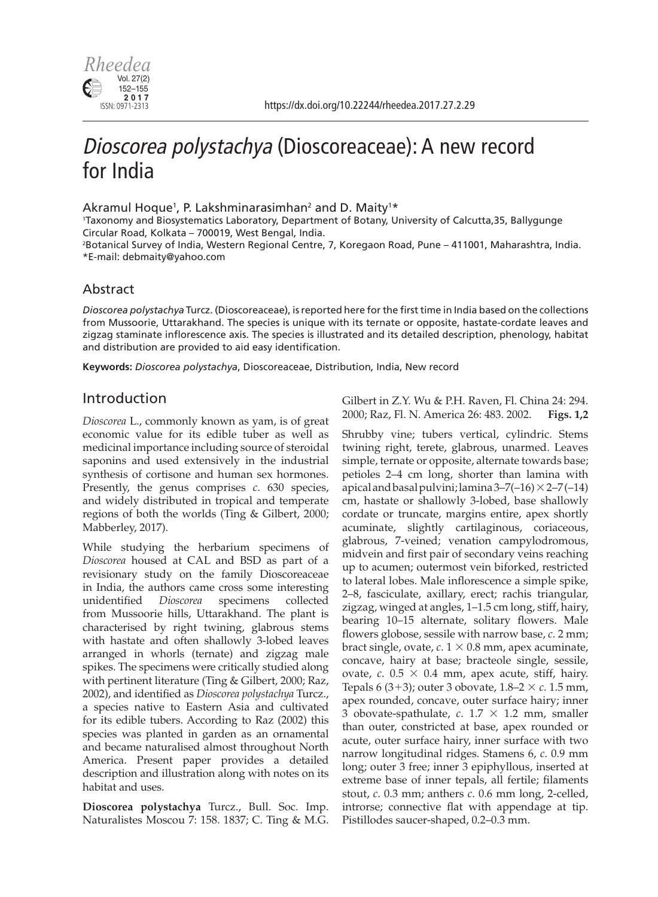

# Dioscorea polystachya (Dioscoreaceae): A new record for India

Akramul Hoque<sup>1</sup>, P. Lakshminarasimhan<sup>2</sup> and D. Maity<sup>1\*</sup>

1 Taxonomy and Biosystematics Laboratory, Department of Botany, University of Calcutta,35, Ballygunge Circular Road, Kolkata – 700019, West Bengal, India.

2 Botanical Survey of India, Western Regional Centre, 7, Koregaon Road, Pune – 411001, Maharashtra, India. \*E-mail: debmaity@yahoo.com

### Abstract

*Dioscorea polystachya* Turcz. (Dioscoreaceae), is reported here for the first time in India based on the collections from Mussoorie, Uttarakhand. The species is unique with its ternate or opposite, hastate-cordate leaves and zigzag staminate inflorescence axis. The species is illustrated and its detailed description, phenology, habitat and distribution are provided to aid easy identification.

**Keywords:** *Dioscorea polystachya*, Dioscoreaceae, Distribution, India, New record

## Introduction

*Dioscorea* L., commonly known as yam, is of great economic value for its edible tuber as well as medicinal importance including source of steroidal saponins and used extensively in the industrial synthesis of cortisone and human sex hormones. Presently, the genus comprises *c*. 630 species, and widely distributed in tropical and temperate regions of both the worlds (Ting & Gilbert, 2000; Mabberley, 2017).

While studying the herbarium specimens of *Dioscorea* housed at CAL and BSD as part of a revisionary study on the family Dioscoreaceae in India, the authors came cross some interesting unidentified *Dioscorea* specimens collected from Mussoorie hills, Uttarakhand. The plant is characterised by right twining, glabrous stems with hastate and often shallowly 3-lobed leaves arranged in whorls (ternate) and zigzag male spikes. The specimens were critically studied along with pertinent literature (Ting & Gilbert, 2000; Raz, 2002), and identified as *Dioscorea polystachya* Turcz., a species native to Eastern Asia and cultivated for its edible tubers. According to Raz (2002) this species was planted in garden as an ornamental and became naturalised almost throughout North America. Present paper provides a detailed description and illustration along with notes on its habitat and uses.

**Dioscorea polystachya** Turcz., Bull. Soc. Imp. Naturalistes Moscou 7: 158. 1837; C. Ting & M.G.

Gilbert in Z.Y. Wu & P.H. Raven, Fl. China 24: 294. 2000; Raz, Fl. N. America 26: 483. 2002. **Figs. 1,2**

Shrubby vine; tubers vertical, cylindric. Stems twining right, terete, glabrous, unarmed. Leaves simple, ternate or opposite, alternate towards base; petioles 2–4 cm long, shorter than lamina with apical and basal pulvini; lamina  $3-7(-16) \times 2-7(-14)$ cm, hastate or shallowly 3-lobed, base shallowly cordate or truncate, margins entire, apex shortly acuminate, slightly cartilaginous, coriaceous, glabrous, 7-veined; venation campylodromous, midvein and first pair of secondary veins reaching up to acumen; outermost vein biforked, restricted to lateral lobes. Male inflorescence a simple spike, 2–8, fasciculate, axillary, erect; rachis triangular, zigzag, winged at angles, 1–1.5 cm long, stiff, hairy, bearing 10–15 alternate, solitary flowers. Male flowers globose, sessile with narrow base, *c*. 2 mm; bract single, ovate,  $c. 1 \times 0.8$  mm, apex acuminate, concave, hairy at base; bracteole single, sessile, ovate,  $c$ .  $0.5 \times 0.4$  mm, apex acute, stiff, hairy. Tepals 6 (3+3); outer 3 obovate,  $1.8-2 \times c$ . 1.5 mm, apex rounded, concave, outer surface hairy; inner 3 obovate-spathulate,  $c$ . 1.7  $\times$  1.2 mm, smaller than outer, constricted at base, apex rounded or acute, outer surface hairy, inner surface with two narrow longitudinal ridges. Stamens 6, *c*. 0.9 mm long; outer 3 free; inner 3 epiphyllous, inserted at extreme base of inner tepals, all fertile; filaments stout, *c*. 0.3 mm; anthers *c*. 0.6 mm long, 2-celled, introrse; connective flat with appendage at tip. Pistillodes saucer-shaped, 0.2–0.3 mm.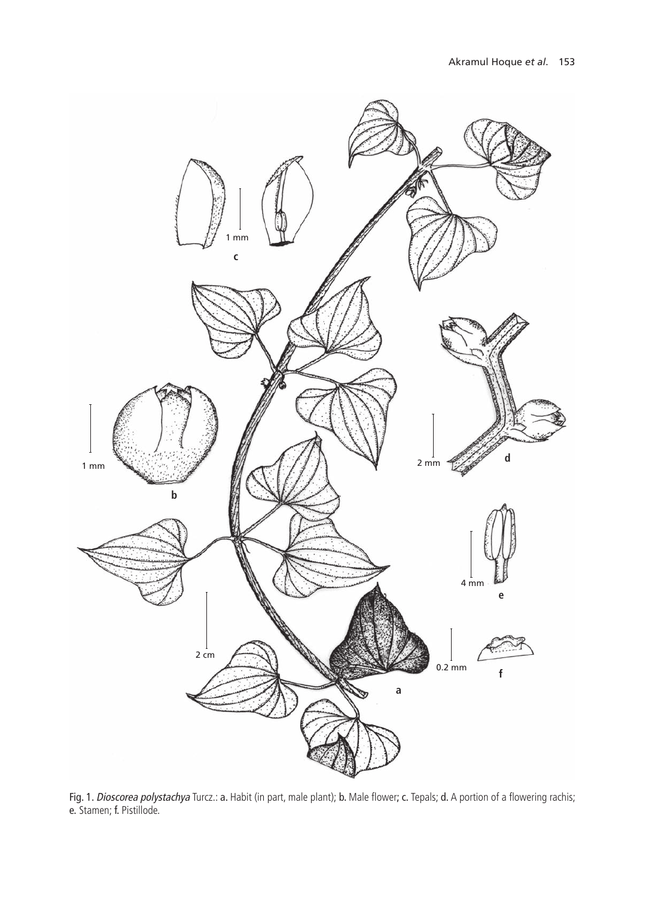

Fig. 1*. Dioscorea polystachya* Turcz.: a. Habit (in part, male plant); b. Male flower; c. Tepals; d. A portion of a flowering rachis; e. Stamen; f. Pistillode.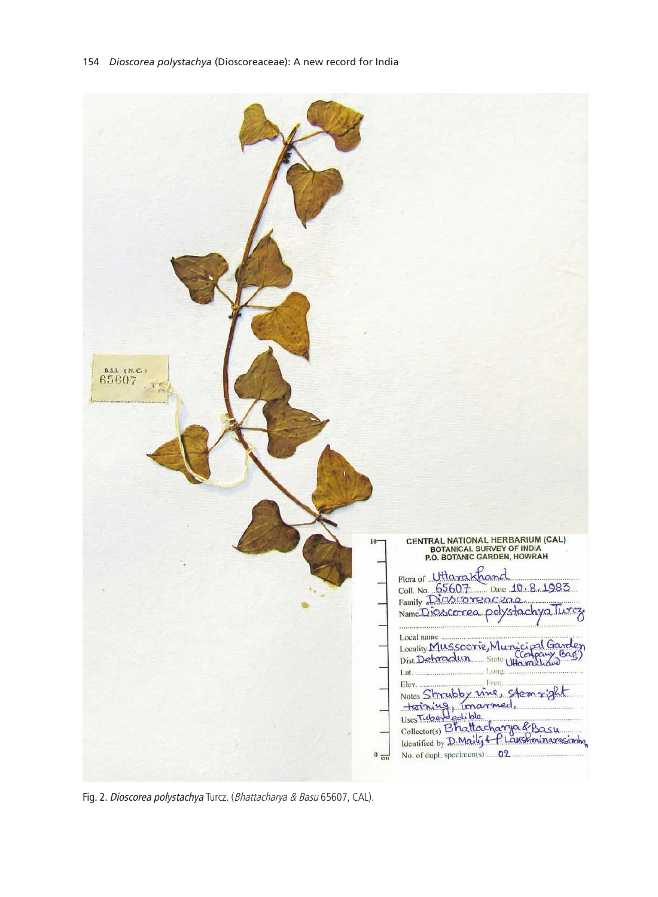

Fig. 2. Dioscorea polystachya Turcz. (*Bhattacharya & Basu* 65607, CAL).